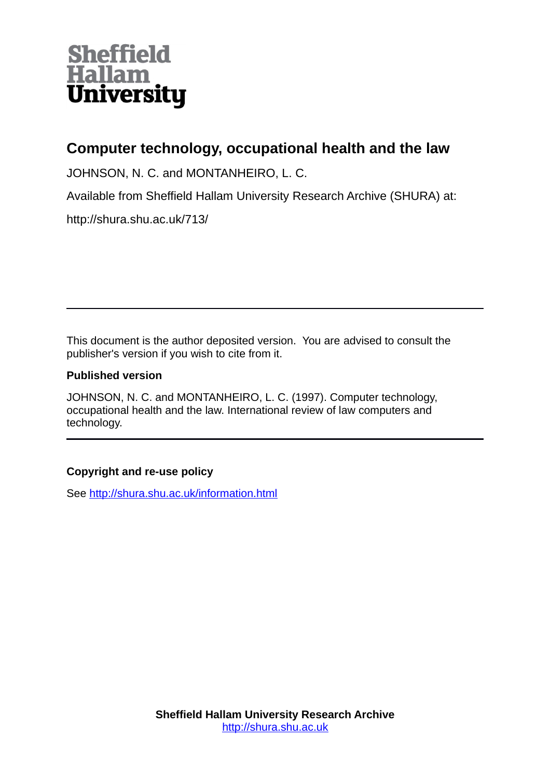

# **Computer technology, occupational health and the law**

JOHNSON, N. C. and MONTANHEIRO, L. C.

Available from Sheffield Hallam University Research Archive (SHURA) at:

http://shura.shu.ac.uk/713/

This document is the author deposited version. You are advised to consult the publisher's version if you wish to cite from it.

# **Published version**

JOHNSON, N. C. and MONTANHEIRO, L. C. (1997). Computer technology, occupational health and the law. International review of law computers and technology.

# **Copyright and re-use policy**

See<http://shura.shu.ac.uk/information.html>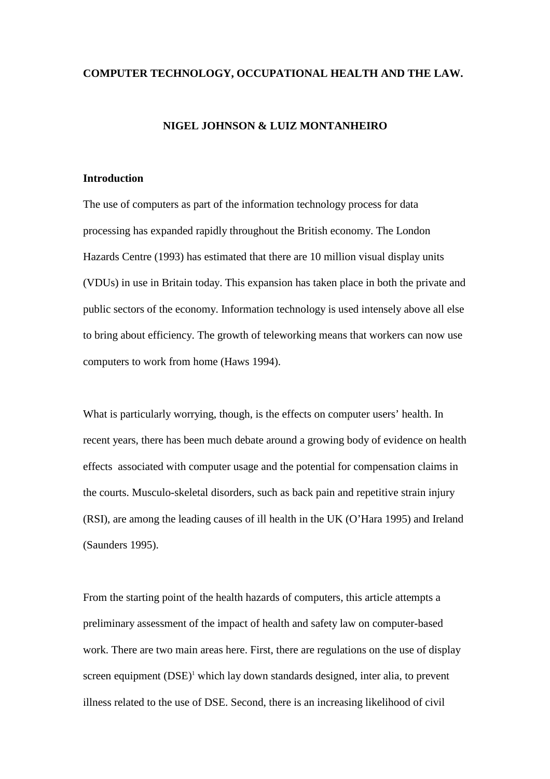#### **COMPUTER TECHNOLOGY, OCCUPATIONAL HEALTH AND THE LAW.**

#### **NIGEL JOHNSON & LUIZ MONTANHEIRO**

# **Introduction**

The use of computers as part of the information technology process for data processing has expanded rapidly throughout the British economy. The London Hazards Centre (1993) has estimated that there are 10 million visual display units (VDUs) in use in Britain today. This expansion has taken place in both the private and public sectors of the economy. Information technology is used intensely above all else to bring about efficiency. The growth of teleworking means that workers can now use computers to work from home (Haws 1994).

What is particularly worrying, though, is the effects on computer users' health. In recent years, there has been much debate around a growing body of evidence on health effects associated with computer usage and the potential for compensation claims in the courts. Musculo-skeletal disorders, such as back pain and repetitive strain injury (RSI), are among the leading causes of ill health in the UK (O'Hara 1995) and Ireland (Saunders 1995).

From the starting point of the health hazards of computers, this article attempts a preliminary assessment of the impact of health and safety law on computer-based work. There are two main areas here. First, there are regulations on the use of display screen equipment  $(DSE)^1$  which lay down standards designed, inter alia, to prevent illness related to the use of DSE. Second, there is an increasing likelihood of civil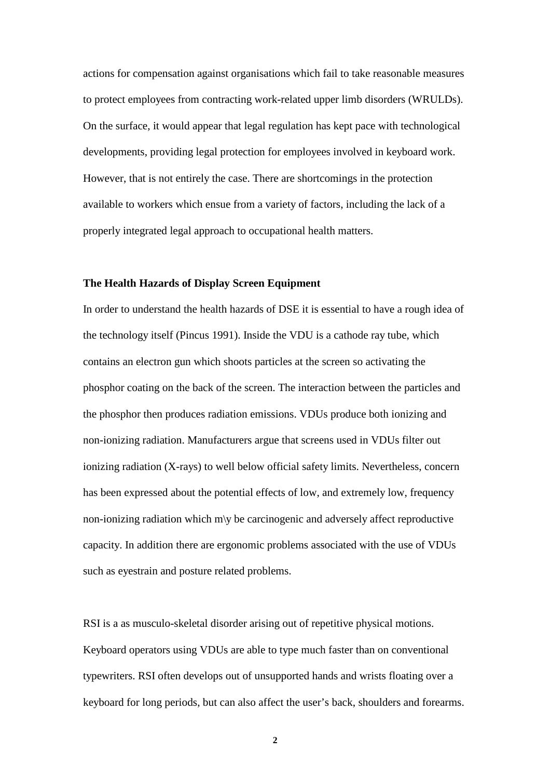actions for compensation against organisations which fail to take reasonable measures to protect employees from contracting work-related upper limb disorders (WRULDs). On the surface, it would appear that legal regulation has kept pace with technological developments, providing legal protection for employees involved in keyboard work. However, that is not entirely the case. There are shortcomings in the protection available to workers which ensue from a variety of factors, including the lack of a properly integrated legal approach to occupational health matters.

#### **The Health Hazards of Display Screen Equipment**

In order to understand the health hazards of DSE it is essential to have a rough idea of the technology itself (Pincus 1991). Inside the VDU is a cathode ray tube, which contains an electron gun which shoots particles at the screen so activating the phosphor coating on the back of the screen. The interaction between the particles and the phosphor then produces radiation emissions. VDUs produce both ionizing and non-ionizing radiation. Manufacturers argue that screens used in VDUs filter out ionizing radiation (X-rays) to well below official safety limits. Nevertheless, concern has been expressed about the potential effects of low, and extremely low, frequency non-ionizing radiation which m\y be carcinogenic and adversely affect reproductive capacity. In addition there are ergonomic problems associated with the use of VDUs such as eyestrain and posture related problems.

RSI is a as musculo-skeletal disorder arising out of repetitive physical motions. Keyboard operators using VDUs are able to type much faster than on conventional typewriters. RSI often develops out of unsupported hands and wrists floating over a keyboard for long periods, but can also affect the user's back, shoulders and forearms.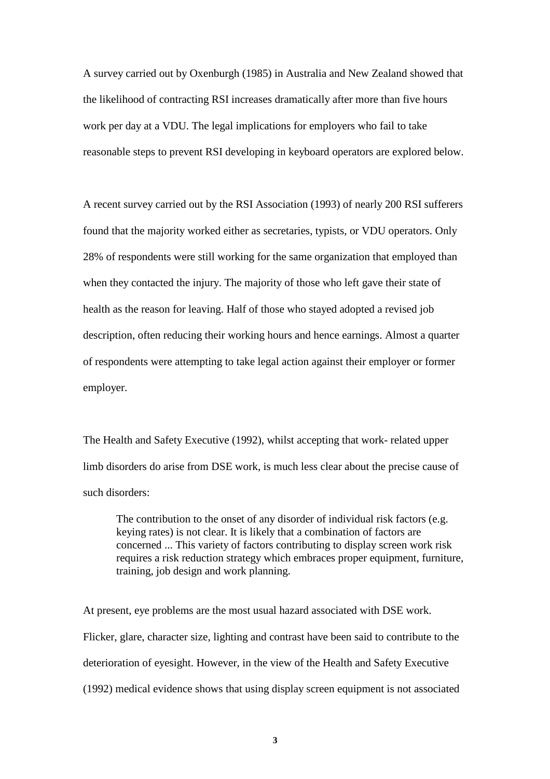A survey carried out by Oxenburgh (1985) in Australia and New Zealand showed that the likelihood of contracting RSI increases dramatically after more than five hours work per day at a VDU. The legal implications for employers who fail to take reasonable steps to prevent RSI developing in keyboard operators are explored below.

A recent survey carried out by the RSI Association (1993) of nearly 200 RSI sufferers found that the majority worked either as secretaries, typists, or VDU operators. Only 28% of respondents were still working for the same organization that employed than when they contacted the injury. The majority of those who left gave their state of health as the reason for leaving. Half of those who stayed adopted a revised job description, often reducing their working hours and hence earnings. Almost a quarter of respondents were attempting to take legal action against their employer or former employer.

The Health and Safety Executive (1992), whilst accepting that work- related upper limb disorders do arise from DSE work, is much less clear about the precise cause of such disorders:

The contribution to the onset of any disorder of individual risk factors (e.g. keying rates) is not clear. It is likely that a combination of factors are concerned ... This variety of factors contributing to display screen work risk requires a risk reduction strategy which embraces proper equipment, furniture, training, job design and work planning.

At present, eye problems are the most usual hazard associated with DSE work. Flicker, glare, character size, lighting and contrast have been said to contribute to the deterioration of eyesight. However, in the view of the Health and Safety Executive (1992) medical evidence shows that using display screen equipment is not associated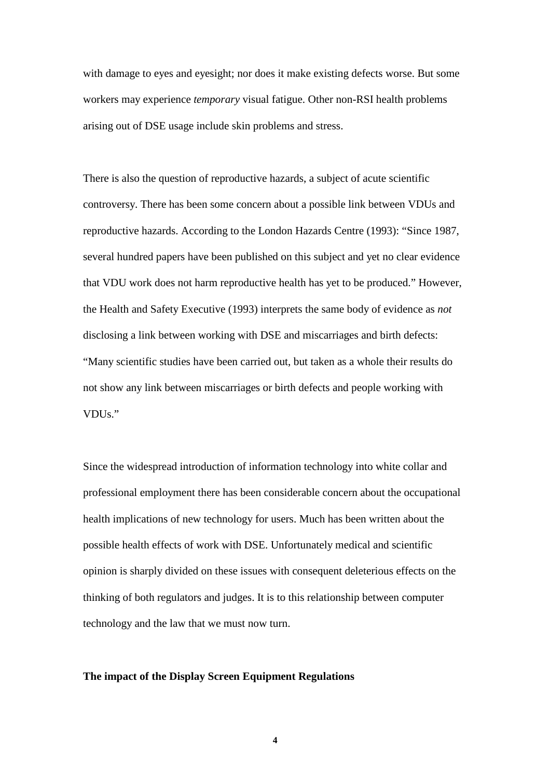with damage to eyes and eyesight; nor does it make existing defects worse. But some workers may experience *temporary* visual fatigue. Other non-RSI health problems arising out of DSE usage include skin problems and stress.

There is also the question of reproductive hazards, a subject of acute scientific controversy. There has been some concern about a possible link between VDUs and reproductive hazards. According to the London Hazards Centre (1993): "Since 1987, several hundred papers have been published on this subject and yet no clear evidence that VDU work does not harm reproductive health has yet to be produced." However, the Health and Safety Executive (1993) interprets the same body of evidence as *not*  disclosing a link between working with DSE and miscarriages and birth defects: "Many scientific studies have been carried out, but taken as a whole their results do not show any link between miscarriages or birth defects and people working with VDUs."

Since the widespread introduction of information technology into white collar and professional employment there has been considerable concern about the occupational health implications of new technology for users. Much has been written about the possible health effects of work with DSE. Unfortunately medical and scientific opinion is sharply divided on these issues with consequent deleterious effects on the thinking of both regulators and judges. It is to this relationship between computer technology and the law that we must now turn.

# **The impact of the Display Screen Equipment Regulations**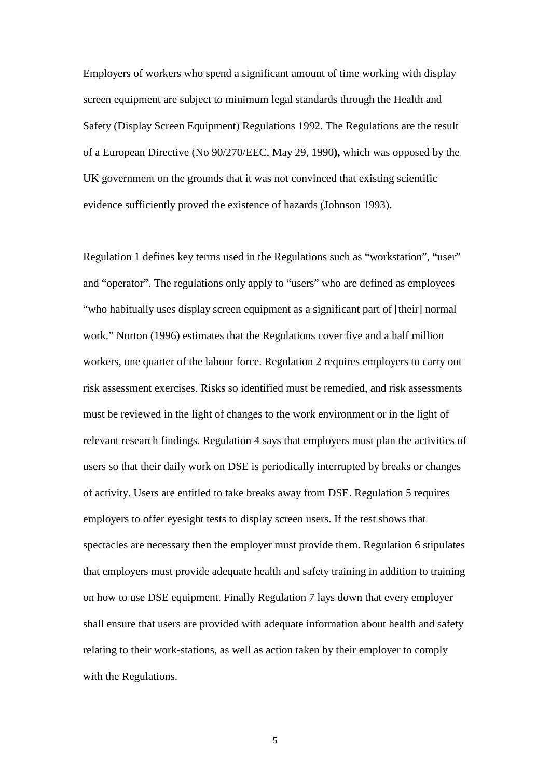Employers of workers who spend a significant amount of time working with display screen equipment are subject to minimum legal standards through the Health and Safety (Display Screen Equipment) Regulations 1992. The Regulations are the result of a European Directive (No 90/270/EEC, May 29, 1990**),** which was opposed by the UK government on the grounds that it was not convinced that existing scientific evidence sufficiently proved the existence of hazards (Johnson 1993).

Regulation 1 defines key terms used in the Regulations such as "workstation", "user" and "operator". The regulations only apply to "users" who are defined as employees "who habitually uses display screen equipment as a significant part of [their] normal work." Norton (1996) estimates that the Regulations cover five and a half million workers, one quarter of the labour force. Regulation 2 requires employers to carry out risk assessment exercises. Risks so identified must be remedied, and risk assessments must be reviewed in the light of changes to the work environment or in the light of relevant research findings. Regulation 4 says that employers must plan the activities of users so that their daily work on DSE is periodically interrupted by breaks or changes of activity. Users are entitled to take breaks away from DSE. Regulation 5 requires employers to offer eyesight tests to display screen users. If the test shows that spectacles are necessary then the employer must provide them. Regulation 6 stipulates that employers must provide adequate health and safety training in addition to training on how to use DSE equipment. Finally Regulation 7 lays down that every employer shall ensure that users are provided with adequate information about health and safety relating to their work-stations, as well as action taken by their employer to comply with the Regulations.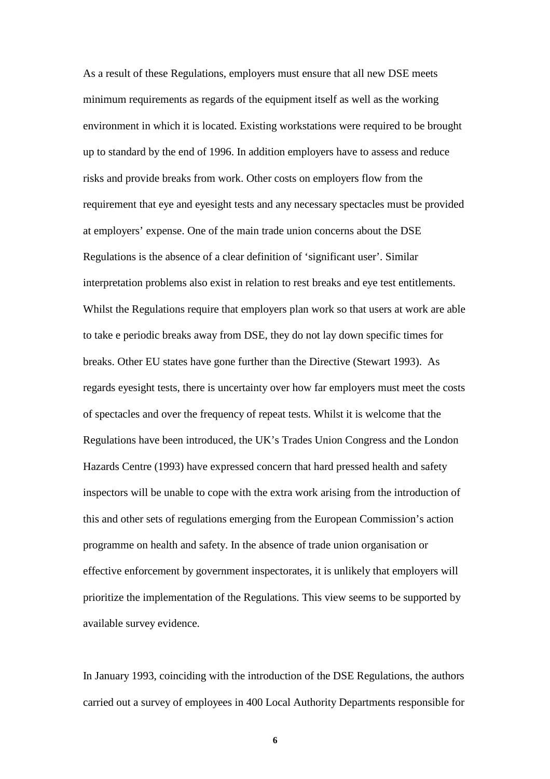As a result of these Regulations, employers must ensure that all new DSE meets minimum requirements as regards of the equipment itself as well as the working environment in which it is located. Existing workstations were required to be brought up to standard by the end of 1996. In addition employers have to assess and reduce risks and provide breaks from work. Other costs on employers flow from the requirement that eye and eyesight tests and any necessary spectacles must be provided at employers' expense. One of the main trade union concerns about the DSE Regulations is the absence of a clear definition of 'significant user'. Similar interpretation problems also exist in relation to rest breaks and eye test entitlements. Whilst the Regulations require that employers plan work so that users at work are able to take e periodic breaks away from DSE, they do not lay down specific times for breaks. Other EU states have gone further than the Directive (Stewart 1993). As regards eyesight tests, there is uncertainty over how far employers must meet the costs of spectacles and over the frequency of repeat tests. Whilst it is welcome that the Regulations have been introduced, the UK's Trades Union Congress and the London Hazards Centre (1993) have expressed concern that hard pressed health and safety inspectors will be unable to cope with the extra work arising from the introduction of this and other sets of regulations emerging from the European Commission's action programme on health and safety. In the absence of trade union organisation or effective enforcement by government inspectorates, it is unlikely that employers will prioritize the implementation of the Regulations. This view seems to be supported by available survey evidence.

In January 1993, coinciding with the introduction of the DSE Regulations, the authors carried out a survey of employees in 400 Local Authority Departments responsible for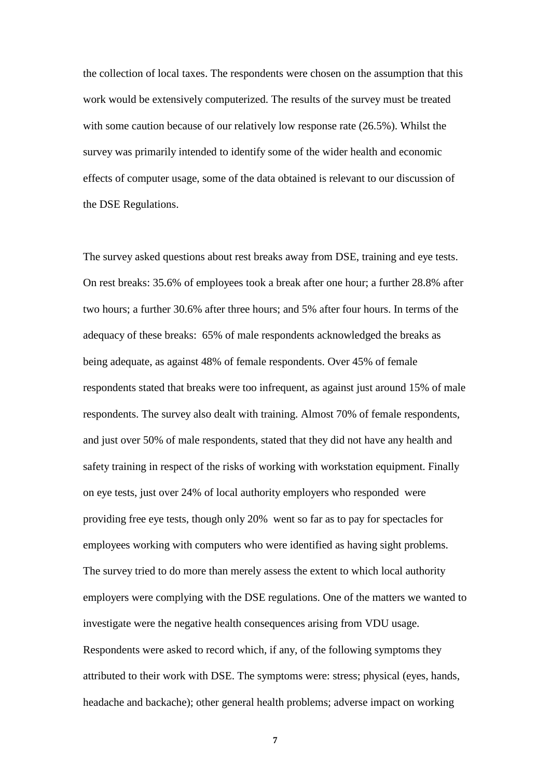the collection of local taxes. The respondents were chosen on the assumption that this work would be extensively computerized. The results of the survey must be treated with some caution because of our relatively low response rate (26.5%). Whilst the survey was primarily intended to identify some of the wider health and economic effects of computer usage, some of the data obtained is relevant to our discussion of the DSE Regulations.

The survey asked questions about rest breaks away from DSE, training and eye tests. On rest breaks: 35.6% of employees took a break after one hour; a further 28.8% after two hours; a further 30.6% after three hours; and 5% after four hours. In terms of the adequacy of these breaks: 65% of male respondents acknowledged the breaks as being adequate, as against 48% of female respondents. Over 45% of female respondents stated that breaks were too infrequent, as against just around 15% of male respondents. The survey also dealt with training. Almost 70% of female respondents, and just over 50% of male respondents, stated that they did not have any health and safety training in respect of the risks of working with workstation equipment. Finally on eye tests, just over 24% of local authority employers who responded were providing free eye tests, though only 20% went so far as to pay for spectacles for employees working with computers who were identified as having sight problems. The survey tried to do more than merely assess the extent to which local authority employers were complying with the DSE regulations. One of the matters we wanted to investigate were the negative health consequences arising from VDU usage. Respondents were asked to record which, if any, of the following symptoms they attributed to their work with DSE. The symptoms were: stress; physical (eyes, hands, headache and backache); other general health problems; adverse impact on working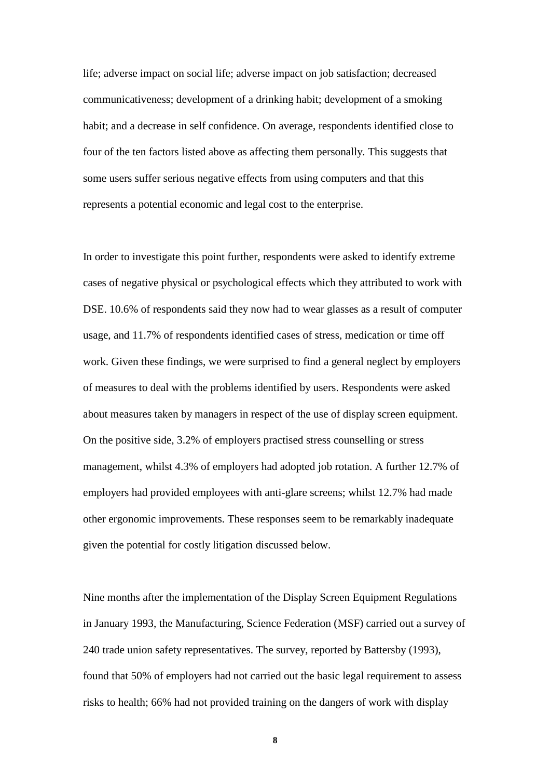life; adverse impact on social life; adverse impact on job satisfaction; decreased communicativeness; development of a drinking habit; development of a smoking habit; and a decrease in self confidence. On average, respondents identified close to four of the ten factors listed above as affecting them personally. This suggests that some users suffer serious negative effects from using computers and that this represents a potential economic and legal cost to the enterprise.

In order to investigate this point further, respondents were asked to identify extreme cases of negative physical or psychological effects which they attributed to work with DSE. 10.6% of respondents said they now had to wear glasses as a result of computer usage, and 11.7% of respondents identified cases of stress, medication or time off work. Given these findings, we were surprised to find a general neglect by employers of measures to deal with the problems identified by users. Respondents were asked about measures taken by managers in respect of the use of display screen equipment. On the positive side, 3.2% of employers practised stress counselling or stress management, whilst 4.3% of employers had adopted job rotation. A further 12.7% of employers had provided employees with anti-glare screens; whilst 12.7% had made other ergonomic improvements. These responses seem to be remarkably inadequate given the potential for costly litigation discussed below.

Nine months after the implementation of the Display Screen Equipment Regulations in January 1993, the Manufacturing, Science Federation (MSF) carried out a survey of 240 trade union safety representatives. The survey, reported by Battersby (1993), found that 50% of employers had not carried out the basic legal requirement to assess risks to health; 66% had not provided training on the dangers of work with display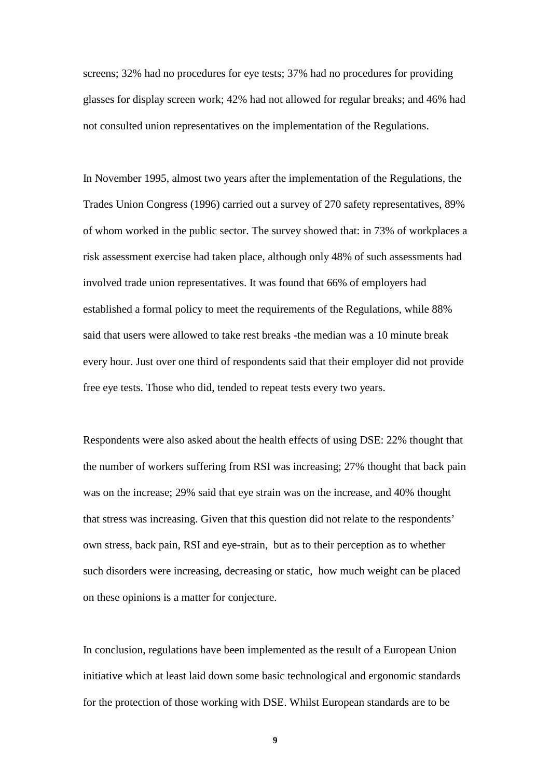screens; 32% had no procedures for eye tests; 37% had no procedures for providing glasses for display screen work; 42% had not allowed for regular breaks; and 46% had not consulted union representatives on the implementation of the Regulations.

In November 1995, almost two years after the implementation of the Regulations, the Trades Union Congress (1996) carried out a survey of 270 safety representatives, 89% of whom worked in the public sector. The survey showed that: in 73% of workplaces a risk assessment exercise had taken place, although only 48% of such assessments had involved trade union representatives. It was found that 66% of employers had established a formal policy to meet the requirements of the Regulations, while 88% said that users were allowed to take rest breaks -the median was a 10 minute break every hour. Just over one third of respondents said that their employer did not provide free eye tests. Those who did, tended to repeat tests every two years.

Respondents were also asked about the health effects of using DSE: 22% thought that the number of workers suffering from RSI was increasing; 27% thought that back pain was on the increase; 29% said that eye strain was on the increase, and 40% thought that stress was increasing. Given that this question did not relate to the respondents' own stress, back pain, RSI and eye-strain, but as to their perception as to whether such disorders were increasing, decreasing or static, how much weight can be placed on these opinions is a matter for conjecture.

In conclusion, regulations have been implemented as the result of a European Union initiative which at least laid down some basic technological and ergonomic standards for the protection of those working with DSE. Whilst European standards are to be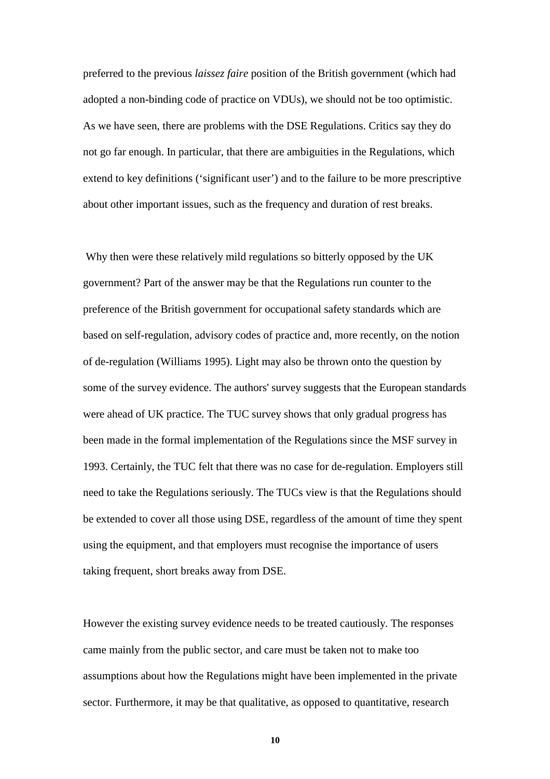preferred to the previous *laissez faire* position of the British government (which had adopted a non-binding code of practice on VDUs), we should not be too optimistic. As we have seen, there are problems with the DSE Regulations. Critics say they do not go far enough. In particular, that there are ambiguities in the Regulations, which extend to key definitions ('significant user') and to the failure to be more prescriptive about other important issues, such as the frequency and duration of rest breaks.

 Why then were these relatively mild regulations so bitterly opposed by the UK government? Part of the answer may be that the Regulations run counter to the preference of the British government for occupational safety standards which are based on self-regulation, advisory codes of practice and, more recently, on the notion of de-regulation (Williams 1995). Light may also be thrown onto the question by some of the survey evidence. The authors' survey suggests that the European standards were ahead of UK practice. The TUC survey shows that only gradual progress has been made in the formal implementation of the Regulations since the MSF survey in 1993. Certainly, the TUC felt that there was no case for de-regulation. Employers still need to take the Regulations seriously. The TUCs view is that the Regulations should be extended to cover all those using DSE, regardless of the amount of time they spent using the equipment, and that employers must recognise the importance of users taking frequent, short breaks away from DSE.

However the existing survey evidence needs to be treated cautiously. The responses came mainly from the public sector, and care must be taken not to make too assumptions about how the Regulations might have been implemented in the private sector. Furthermore, it may be that qualitative, as opposed to quantitative, research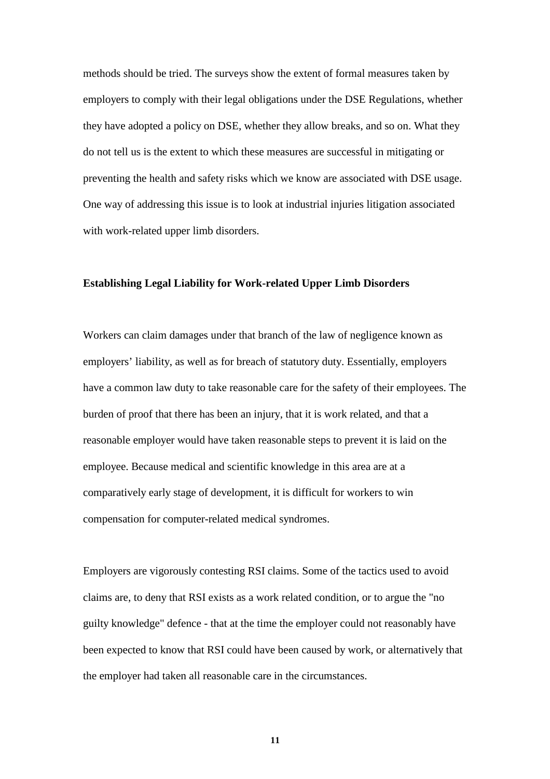methods should be tried. The surveys show the extent of formal measures taken by employers to comply with their legal obligations under the DSE Regulations, whether they have adopted a policy on DSE, whether they allow breaks, and so on. What they do not tell us is the extent to which these measures are successful in mitigating or preventing the health and safety risks which we know are associated with DSE usage. One way of addressing this issue is to look at industrial injuries litigation associated with work-related upper limb disorders.

#### **Establishing Legal Liability for Work-related Upper Limb Disorders**

Workers can claim damages under that branch of the law of negligence known as employers' liability, as well as for breach of statutory duty. Essentially, employers have a common law duty to take reasonable care for the safety of their employees. The burden of proof that there has been an injury, that it is work related, and that a reasonable employer would have taken reasonable steps to prevent it is laid on the employee. Because medical and scientific knowledge in this area are at a comparatively early stage of development, it is difficult for workers to win compensation for computer-related medical syndromes.

Employers are vigorously contesting RSI claims. Some of the tactics used to avoid claims are, to deny that RSI exists as a work related condition, or to argue the "no guilty knowledge" defence - that at the time the employer could not reasonably have been expected to know that RSI could have been caused by work, or alternatively that the employer had taken all reasonable care in the circumstances.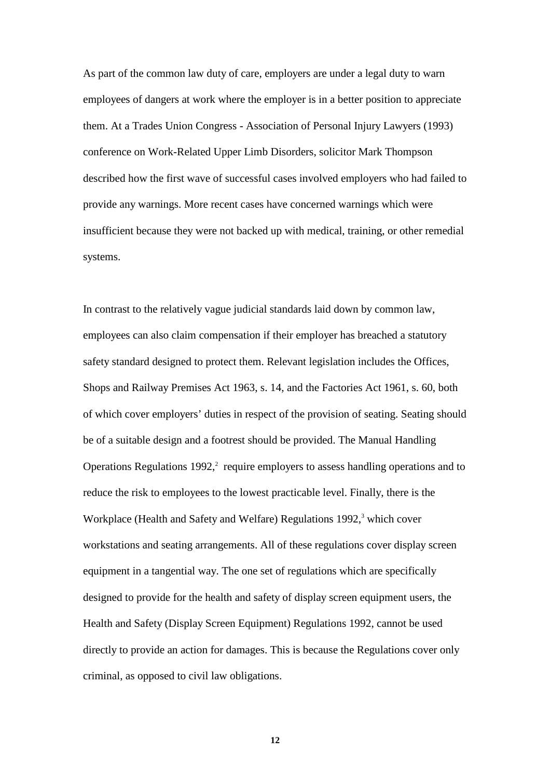As part of the common law duty of care, employers are under a legal duty to warn employees of dangers at work where the employer is in a better position to appreciate them. At a Trades Union Congress - Association of Personal Injury Lawyers (1993) conference on Work-Related Upper Limb Disorders, solicitor Mark Thompson described how the first wave of successful cases involved employers who had failed to provide any warnings. More recent cases have concerned warnings which were insufficient because they were not backed up with medical, training, or other remedial systems.

In contrast to the relatively vague judicial standards laid down by common law, employees can also claim compensation if their employer has breached a statutory safety standard designed to protect them. Relevant legislation includes the Offices, Shops and Railway Premises Act 1963, s. 14, and the Factories Act 1961, s. 60, both of which cover employers' duties in respect of the provision of seating. Seating should be of a suitable design and a footrest should be provided. The Manual Handling Operations Regulations  $1992$ ,<sup>2</sup> require employers to assess handling operations and to reduce the risk to employees to the lowest practicable level. Finally, there is the Workplace (Health and Safety and Welfare) Regulations 1992,<sup>3</sup> which cover workstations and seating arrangements. All of these regulations cover display screen equipment in a tangential way. The one set of regulations which are specifically designed to provide for the health and safety of display screen equipment users, the Health and Safety (Display Screen Equipment) Regulations 1992, cannot be used directly to provide an action for damages. This is because the Regulations cover only criminal, as opposed to civil law obligations.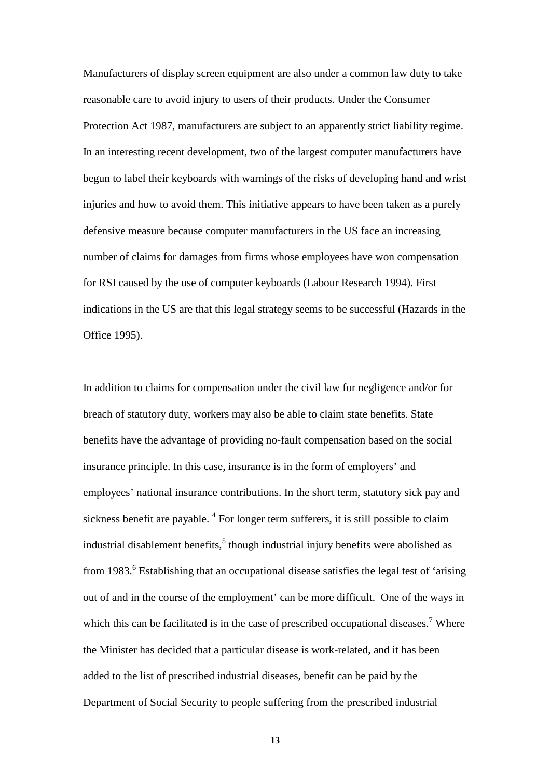Manufacturers of display screen equipment are also under a common law duty to take reasonable care to avoid injury to users of their products. Under the Consumer Protection Act 1987, manufacturers are subject to an apparently strict liability regime. In an interesting recent development, two of the largest computer manufacturers have begun to label their keyboards with warnings of the risks of developing hand and wrist injuries and how to avoid them. This initiative appears to have been taken as a purely defensive measure because computer manufacturers in the US face an increasing number of claims for damages from firms whose employees have won compensation for RSI caused by the use of computer keyboards (Labour Research 1994). First indications in the US are that this legal strategy seems to be successful (Hazards in the Office 1995).

In addition to claims for compensation under the civil law for negligence and/or for breach of statutory duty, workers may also be able to claim state benefits. State benefits have the advantage of providing no-fault compensation based on the social insurance principle. In this case, insurance is in the form of employers' and employees' national insurance contributions. In the short term, statutory sick pay and sickness benefit are payable.<sup>4</sup> For longer term sufferers, it is still possible to claim industrial disablement benefits, $5$  though industrial injury benefits were abolished as from 1983.<sup>6</sup> Establishing that an occupational disease satisfies the legal test of 'arising out of and in the course of the employment' can be more difficult. One of the ways in which this can be facilitated is in the case of prescribed occupational diseases.<sup>7</sup> Where the Minister has decided that a particular disease is work-related, and it has been added to the list of prescribed industrial diseases, benefit can be paid by the Department of Social Security to people suffering from the prescribed industrial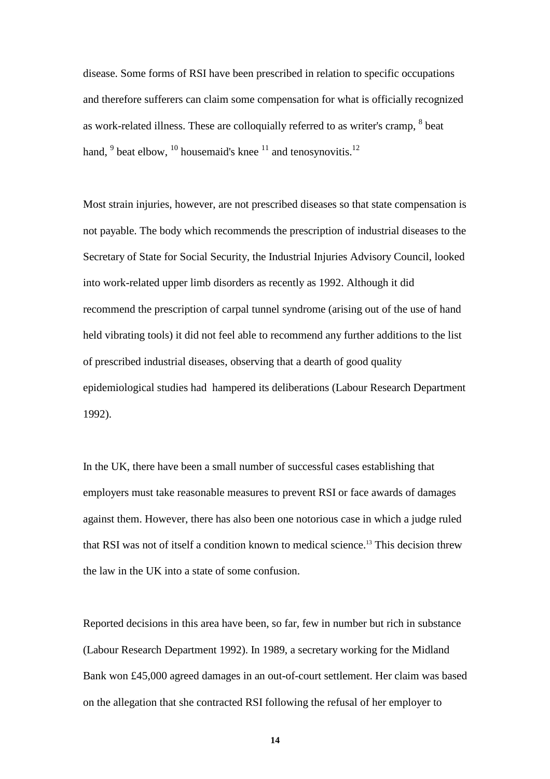disease. Some forms of RSI have been prescribed in relation to specific occupations and therefore sufferers can claim some compensation for what is officially recognized as work-related illness. These are colloquially referred to as writer's cramp,  $8$  beat hand,  $9$  beat elbow,  $10$  housemaid's knee  $11$  and tenosynovitis.<sup>12</sup>

Most strain injuries, however, are not prescribed diseases so that state compensation is not payable. The body which recommends the prescription of industrial diseases to the Secretary of State for Social Security, the Industrial Injuries Advisory Council, looked into work-related upper limb disorders as recently as 1992. Although it did recommend the prescription of carpal tunnel syndrome (arising out of the use of hand held vibrating tools) it did not feel able to recommend any further additions to the list of prescribed industrial diseases, observing that a dearth of good quality epidemiological studies had hampered its deliberations (Labour Research Department 1992).

In the UK, there have been a small number of successful cases establishing that employers must take reasonable measures to prevent RSI or face awards of damages against them. However, there has also been one notorious case in which a judge ruled that RSI was not of itself a condition known to medical science.<sup>13</sup> This decision threw the law in the UK into a state of some confusion.

Reported decisions in this area have been, so far, few in number but rich in substance (Labour Research Department 1992). In 1989, a secretary working for the Midland Bank won £45,000 agreed damages in an out-of-court settlement. Her claim was based on the allegation that she contracted RSI following the refusal of her employer to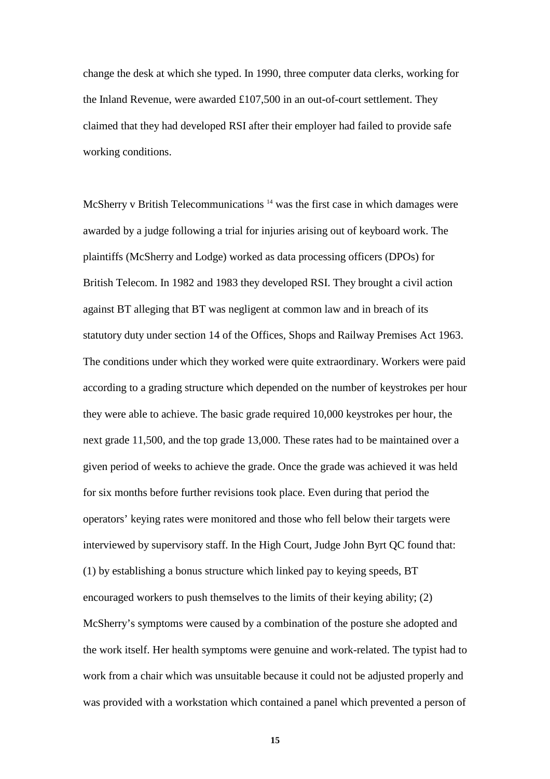change the desk at which she typed. In 1990, three computer data clerks, working for the Inland Revenue, were awarded £107,500 in an out-of-court settlement. They claimed that they had developed RSI after their employer had failed to provide safe working conditions.

McSherry v British Telecommunications<sup>14</sup> was the first case in which damages were awarded by a judge following a trial for injuries arising out of keyboard work. The plaintiffs (McSherry and Lodge) worked as data processing officers (DPOs) for British Telecom. In 1982 and 1983 they developed RSI. They brought a civil action against BT alleging that BT was negligent at common law and in breach of its statutory duty under section 14 of the Offices, Shops and Railway Premises Act 1963. The conditions under which they worked were quite extraordinary. Workers were paid according to a grading structure which depended on the number of keystrokes per hour they were able to achieve. The basic grade required 10,000 keystrokes per hour, the next grade 11,500, and the top grade 13,000. These rates had to be maintained over a given period of weeks to achieve the grade. Once the grade was achieved it was held for six months before further revisions took place. Even during that period the operators' keying rates were monitored and those who fell below their targets were interviewed by supervisory staff. In the High Court, Judge John Byrt QC found that: (1) by establishing a bonus structure which linked pay to keying speeds, BT encouraged workers to push themselves to the limits of their keying ability; (2) McSherry's symptoms were caused by a combination of the posture she adopted and the work itself. Her health symptoms were genuine and work-related. The typist had to work from a chair which was unsuitable because it could not be adjusted properly and was provided with a workstation which contained a panel which prevented a person of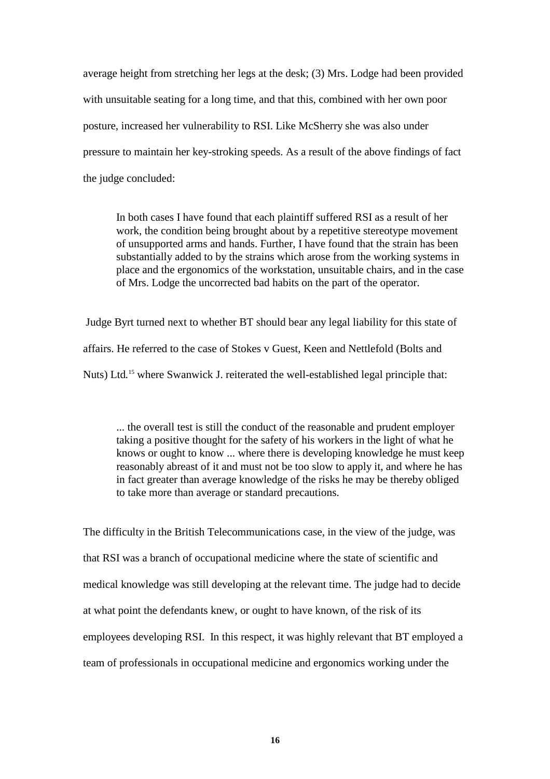average height from stretching her legs at the desk; (3) Mrs. Lodge had been provided with unsuitable seating for a long time, and that this, combined with her own poor posture, increased her vulnerability to RSI. Like McSherry she was also under pressure to maintain her key-stroking speeds. As a result of the above findings of fact the judge concluded:

In both cases I have found that each plaintiff suffered RSI as a result of her work, the condition being brought about by a repetitive stereotype movement of unsupported arms and hands. Further, I have found that the strain has been substantially added to by the strains which arose from the working systems in place and the ergonomics of the workstation, unsuitable chairs, and in the case of Mrs. Lodge the uncorrected bad habits on the part of the operator.

 Judge Byrt turned next to whether BT should bear any legal liability for this state of affairs. He referred to the case of Stokes v Guest, Keen and Nettlefold (Bolts and Nuts) Ltd.<sup>15</sup> where Swanwick J. reiterated the well-established legal principle that:

... the overall test is still the conduct of the reasonable and prudent employer taking a positive thought for the safety of his workers in the light of what he knows or ought to know ... where there is developing knowledge he must keep reasonably abreast of it and must not be too slow to apply it, and where he has in fact greater than average knowledge of the risks he may be thereby obliged to take more than average or standard precautions.

The difficulty in the British Telecommunications case, in the view of the judge, was that RSI was a branch of occupational medicine where the state of scientific and medical knowledge was still developing at the relevant time. The judge had to decide at what point the defendants knew, or ought to have known, of the risk of its employees developing RSI. In this respect, it was highly relevant that BT employed a team of professionals in occupational medicine and ergonomics working under the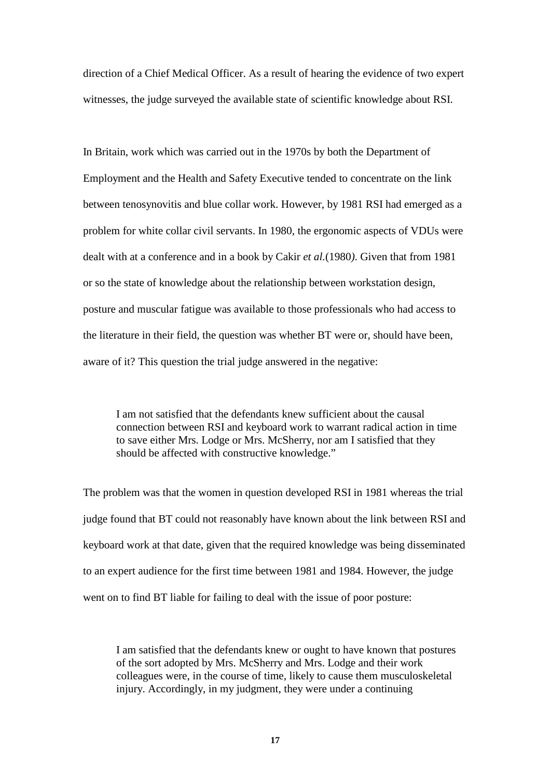direction of a Chief Medical Officer. As a result of hearing the evidence of two expert witnesses, the judge surveyed the available state of scientific knowledge about RSI.

In Britain, work which was carried out in the 1970s by both the Department of Employment and the Health and Safety Executive tended to concentrate on the link between tenosynovitis and blue collar work. However, by 1981 RSI had emerged as a problem for white collar civil servants. In 1980, the ergonomic aspects of VDUs were dealt with at a conference and in a book by Cakir *et al.*(1980*)*. Given that from 1981 or so the state of knowledge about the relationship between workstation design, posture and muscular fatigue was available to those professionals who had access to the literature in their field, the question was whether BT were or, should have been, aware of it? This question the trial judge answered in the negative:

I am not satisfied that the defendants knew sufficient about the causal connection between RSI and keyboard work to warrant radical action in time to save either Mrs. Lodge or Mrs. McSherry, nor am I satisfied that they should be affected with constructive knowledge."

The problem was that the women in question developed RSI in 1981 whereas the trial judge found that BT could not reasonably have known about the link between RSI and keyboard work at that date, given that the required knowledge was being disseminated to an expert audience for the first time between 1981 and 1984. However, the judge went on to find BT liable for failing to deal with the issue of poor posture:

I am satisfied that the defendants knew or ought to have known that postures of the sort adopted by Mrs. McSherry and Mrs. Lodge and their work colleagues were, in the course of time, likely to cause them musculoskeletal injury. Accordingly, in my judgment, they were under a continuing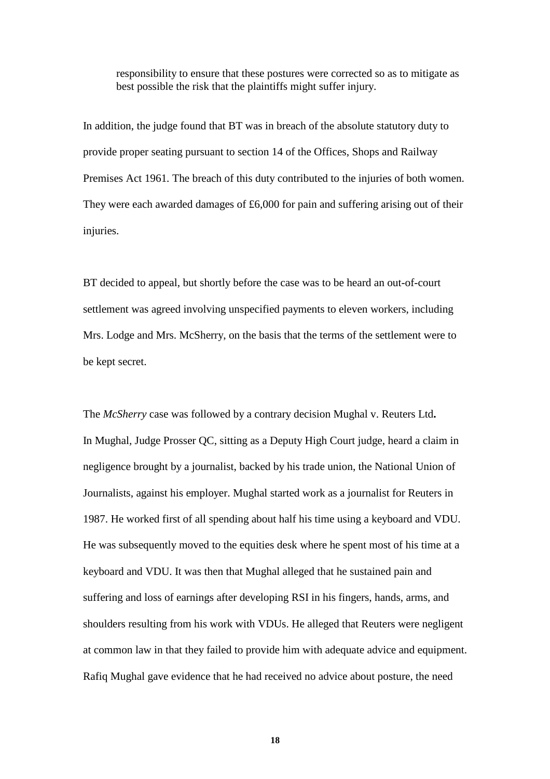responsibility to ensure that these postures were corrected so as to mitigate as best possible the risk that the plaintiffs might suffer injury.

In addition, the judge found that BT was in breach of the absolute statutory duty to provide proper seating pursuant to section 14 of the Offices, Shops and Railway Premises Act 1961*.* The breach of this duty contributed to the injuries of both women. They were each awarded damages of £6,000 for pain and suffering arising out of their injuries.

BT decided to appeal, but shortly before the case was to be heard an out-of-court settlement was agreed involving unspecified payments to eleven workers, including Mrs. Lodge and Mrs. McSherry, on the basis that the terms of the settlement were to be kept secret.

The *McSherry* case was followed by a contrary decision Mughal v. Reuters Ltd**.**  In Mughal*,* Judge Prosser QC, sitting as a Deputy High Court judge, heard a claim in negligence brought by a journalist, backed by his trade union, the National Union of Journalists, against his employer. Mughal started work as a journalist for Reuters in 1987. He worked first of all spending about half his time using a keyboard and VDU. He was subsequently moved to the equities desk where he spent most of his time at a keyboard and VDU. It was then that Mughal alleged that he sustained pain and suffering and loss of earnings after developing RSI in his fingers, hands, arms, and shoulders resulting from his work with VDUs. He alleged that Reuters were negligent at common law in that they failed to provide him with adequate advice and equipment. Rafiq Mughal gave evidence that he had received no advice about posture, the need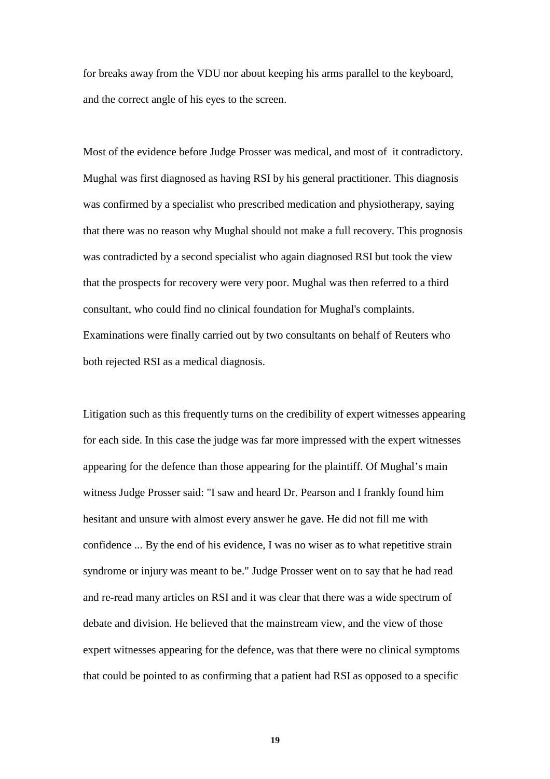for breaks away from the VDU nor about keeping his arms parallel to the keyboard, and the correct angle of his eyes to the screen.

Most of the evidence before Judge Prosser was medical, and most of it contradictory. Mughal was first diagnosed as having RSI by his general practitioner. This diagnosis was confirmed by a specialist who prescribed medication and physiotherapy, saying that there was no reason why Mughal should not make a full recovery. This prognosis was contradicted by a second specialist who again diagnosed RSI but took the view that the prospects for recovery were very poor. Mughal was then referred to a third consultant, who could find no clinical foundation for Mughal's complaints. Examinations were finally carried out by two consultants on behalf of Reuters who both rejected RSI as a medical diagnosis.

Litigation such as this frequently turns on the credibility of expert witnesses appearing for each side. In this case the judge was far more impressed with the expert witnesses appearing for the defence than those appearing for the plaintiff. Of Mughal's main witness Judge Prosser said: "I saw and heard Dr. Pearson and I frankly found him hesitant and unsure with almost every answer he gave. He did not fill me with confidence ... By the end of his evidence, I was no wiser as to what repetitive strain syndrome or injury was meant to be." Judge Prosser went on to say that he had read and re-read many articles on RSI and it was clear that there was a wide spectrum of debate and division. He believed that the mainstream view, and the view of those expert witnesses appearing for the defence, was that there were no clinical symptoms that could be pointed to as confirming that a patient had RSI as opposed to a specific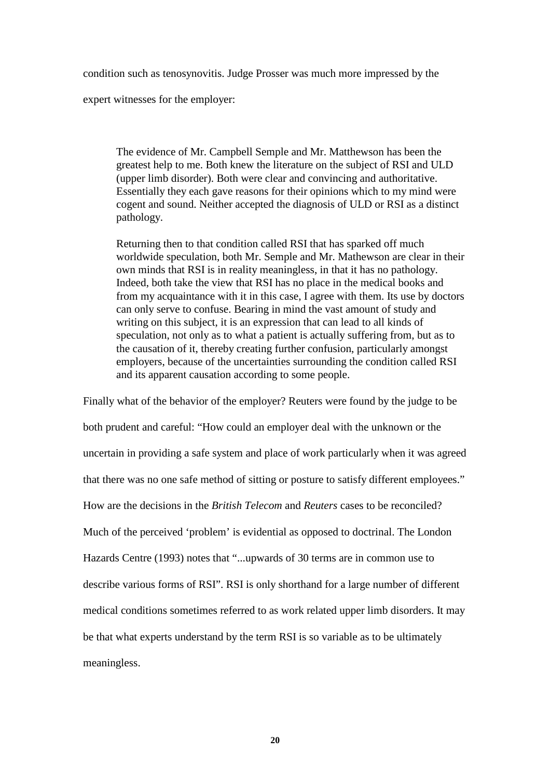condition such as tenosynovitis. Judge Prosser was much more impressed by the

expert witnesses for the employer:

The evidence of Mr. Campbell Semple and Mr. Matthewson has been the greatest help to me. Both knew the literature on the subject of RSI and ULD (upper limb disorder). Both were clear and convincing and authoritative. Essentially they each gave reasons for their opinions which to my mind were cogent and sound. Neither accepted the diagnosis of ULD or RSI as a distinct pathology.

Returning then to that condition called RSI that has sparked off much worldwide speculation, both Mr. Semple and Mr. Mathewson are clear in their own minds that RSI is in reality meaningless, in that it has no pathology. Indeed, both take the view that RSI has no place in the medical books and from my acquaintance with it in this case, I agree with them. Its use by doctors can only serve to confuse. Bearing in mind the vast amount of study and writing on this subject, it is an expression that can lead to all kinds of speculation, not only as to what a patient is actually suffering from, but as to the causation of it, thereby creating further confusion, particularly amongst employers, because of the uncertainties surrounding the condition called RSI and its apparent causation according to some people.

Finally what of the behavior of the employer? Reuters were found by the judge to be both prudent and careful: "How could an employer deal with the unknown or the uncertain in providing a safe system and place of work particularly when it was agreed that there was no one safe method of sitting or posture to satisfy different employees." How are the decisions in the *British Telecom* and *Reuters* cases to be reconciled? Much of the perceived 'problem' is evidential as opposed to doctrinal. The London Hazards Centre (1993) notes that "...upwards of 30 terms are in common use to describe various forms of RSI". RSI is only shorthand for a large number of different medical conditions sometimes referred to as work related upper limb disorders. It may be that what experts understand by the term RSI is so variable as to be ultimately meaningless.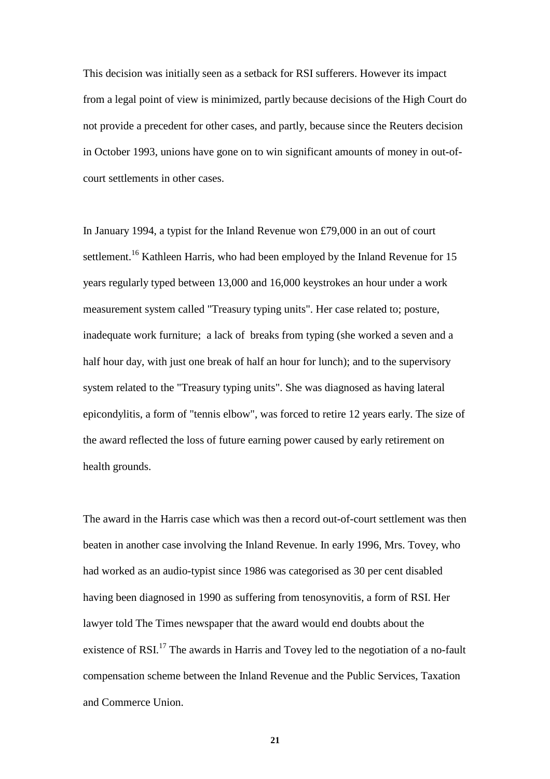This decision was initially seen as a setback for RSI sufferers. However its impact from a legal point of view is minimized, partly because decisions of the High Court do not provide a precedent for other cases, and partly, because since the Reuters decision in October 1993, unions have gone on to win significant amounts of money in out-ofcourt settlements in other cases.

In January 1994, a typist for the Inland Revenue won £79,000 in an out of court settlement.<sup>16</sup> Kathleen Harris, who had been employed by the Inland Revenue for 15 years regularly typed between 13,000 and 16,000 keystrokes an hour under a work measurement system called "Treasury typing units". Her case related to; posture, inadequate work furniture; a lack of breaks from typing (she worked a seven and a half hour day, with just one break of half an hour for lunch); and to the supervisory system related to the "Treasury typing units". She was diagnosed as having lateral epicondylitis, a form of "tennis elbow", was forced to retire 12 years early. The size of the award reflected the loss of future earning power caused by early retirement on health grounds.

The award in the Harris case which was then a record out-of-court settlement was then beaten in another case involving the Inland Revenue. In early 1996, Mrs. Tovey, who had worked as an audio-typist since 1986 was categorised as 30 per cent disabled having been diagnosed in 1990 as suffering from tenosynovitis, a form of RSI. Her lawyer told The Times newspaper that the award would end doubts about the existence of RSI.<sup>17</sup> The awards in Harris and Tovey led to the negotiation of a no-fault compensation scheme between the Inland Revenue and the Public Services, Taxation and Commerce Union.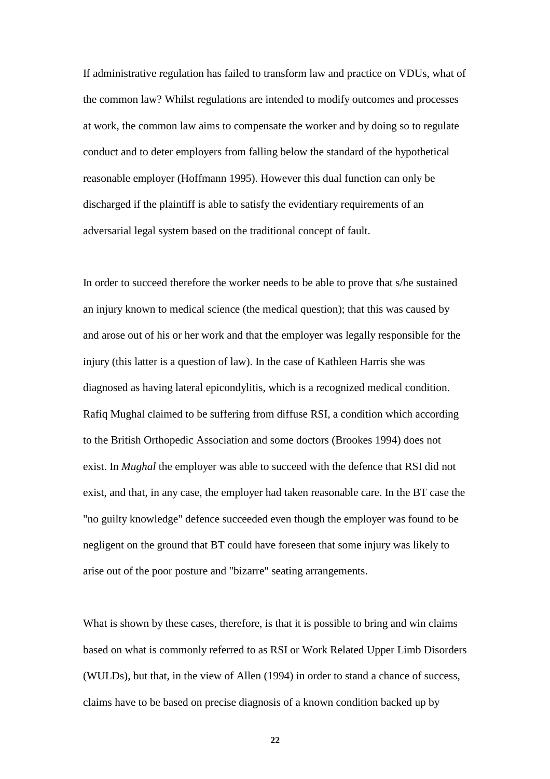If administrative regulation has failed to transform law and practice on VDUs, what of the common law? Whilst regulations are intended to modify outcomes and processes at work, the common law aims to compensate the worker and by doing so to regulate conduct and to deter employers from falling below the standard of the hypothetical reasonable employer (Hoffmann 1995). However this dual function can only be discharged if the plaintiff is able to satisfy the evidentiary requirements of an adversarial legal system based on the traditional concept of fault.

In order to succeed therefore the worker needs to be able to prove that s/he sustained an injury known to medical science (the medical question); that this was caused by and arose out of his or her work and that the employer was legally responsible for the injury (this latter is a question of law). In the case of Kathleen Harris she was diagnosed as having lateral epicondylitis, which is a recognized medical condition. Rafiq Mughal claimed to be suffering from diffuse RSI, a condition which according to the British Orthopedic Association and some doctors (Brookes 1994) does not exist. In *Mughal* the employer was able to succeed with the defence that RSI did not exist, and that, in any case, the employer had taken reasonable care. In the BT case the "no guilty knowledge" defence succeeded even though the employer was found to be negligent on the ground that BT could have foreseen that some injury was likely to arise out of the poor posture and "bizarre" seating arrangements.

What is shown by these cases, therefore, is that it is possible to bring and win claims based on what is commonly referred to as RSI or Work Related Upper Limb Disorders (WULDs), but that, in the view of Allen (1994) in order to stand a chance of success, claims have to be based on precise diagnosis of a known condition backed up by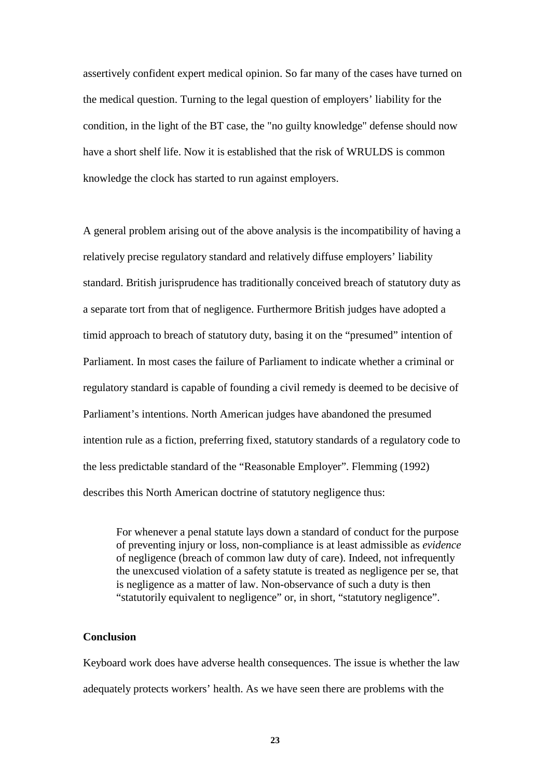assertively confident expert medical opinion. So far many of the cases have turned on the medical question. Turning to the legal question of employers' liability for the condition, in the light of the BT case, the "no guilty knowledge" defense should now have a short shelf life. Now it is established that the risk of WRULDS is common knowledge the clock has started to run against employers.

A general problem arising out of the above analysis is the incompatibility of having a relatively precise regulatory standard and relatively diffuse employers' liability standard. British jurisprudence has traditionally conceived breach of statutory duty as a separate tort from that of negligence. Furthermore British judges have adopted a timid approach to breach of statutory duty, basing it on the "presumed" intention of Parliament. In most cases the failure of Parliament to indicate whether a criminal or regulatory standard is capable of founding a civil remedy is deemed to be decisive of Parliament's intentions. North American judges have abandoned the presumed intention rule as a fiction, preferring fixed, statutory standards of a regulatory code to the less predictable standard of the "Reasonable Employer". Flemming (1992) describes this North American doctrine of statutory negligence thus:

For whenever a penal statute lays down a standard of conduct for the purpose of preventing injury or loss, non-compliance is at least admissible as *evidence*  of negligence (breach of common law duty of care). Indeed, not infrequently the unexcused violation of a safety statute is treated as negligence per se, that is negligence as a matter of law. Non-observance of such a duty is then "statutorily equivalent to negligence" or, in short, "statutory negligence".

# **Conclusion**

Keyboard work does have adverse health consequences. The issue is whether the law adequately protects workers' health. As we have seen there are problems with the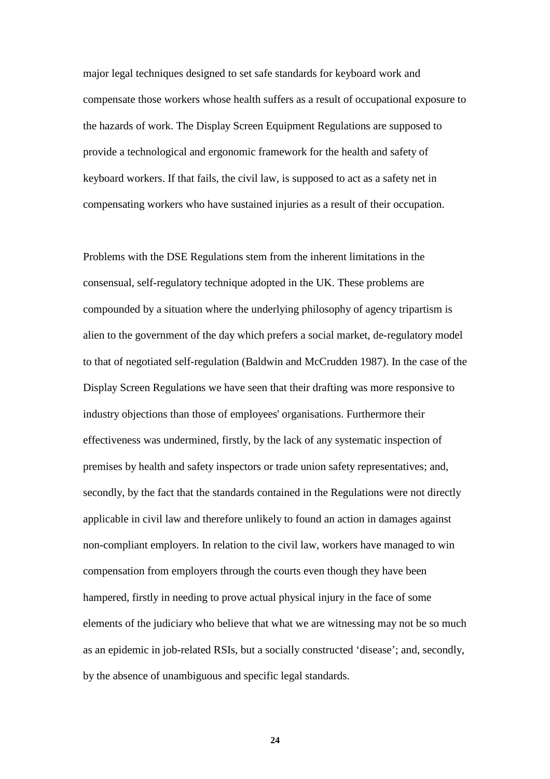major legal techniques designed to set safe standards for keyboard work and compensate those workers whose health suffers as a result of occupational exposure to the hazards of work. The Display Screen Equipment Regulations are supposed to provide a technological and ergonomic framework for the health and safety of keyboard workers. If that fails, the civil law, is supposed to act as a safety net in compensating workers who have sustained injuries as a result of their occupation.

Problems with the DSE Regulations stem from the inherent limitations in the consensual, self-regulatory technique adopted in the UK. These problems are compounded by a situation where the underlying philosophy of agency tripartism is alien to the government of the day which prefers a social market, de-regulatory model to that of negotiated self-regulation (Baldwin and McCrudden 1987). In the case of the Display Screen Regulations we have seen that their drafting was more responsive to industry objections than those of employees' organisations. Furthermore their effectiveness was undermined, firstly, by the lack of any systematic inspection of premises by health and safety inspectors or trade union safety representatives; and, secondly, by the fact that the standards contained in the Regulations were not directly applicable in civil law and therefore unlikely to found an action in damages against non-compliant employers. In relation to the civil law, workers have managed to win compensation from employers through the courts even though they have been hampered, firstly in needing to prove actual physical injury in the face of some elements of the judiciary who believe that what we are witnessing may not be so much as an epidemic in job-related RSIs, but a socially constructed 'disease'; and, secondly, by the absence of unambiguous and specific legal standards.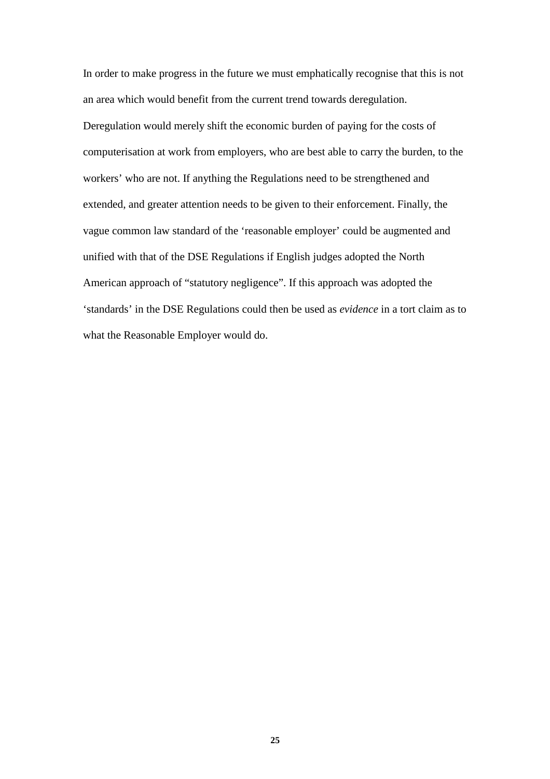In order to make progress in the future we must emphatically recognise that this is not an area which would benefit from the current trend towards deregulation. Deregulation would merely shift the economic burden of paying for the costs of computerisation at work from employers, who are best able to carry the burden, to the workers' who are not. If anything the Regulations need to be strengthened and extended, and greater attention needs to be given to their enforcement. Finally, the vague common law standard of the 'reasonable employer' could be augmented and unified with that of the DSE Regulations if English judges adopted the North American approach of "statutory negligence". If this approach was adopted the 'standards' in the DSE Regulations could then be used as *evidence* in a tort claim as to what the Reasonable Employer would do.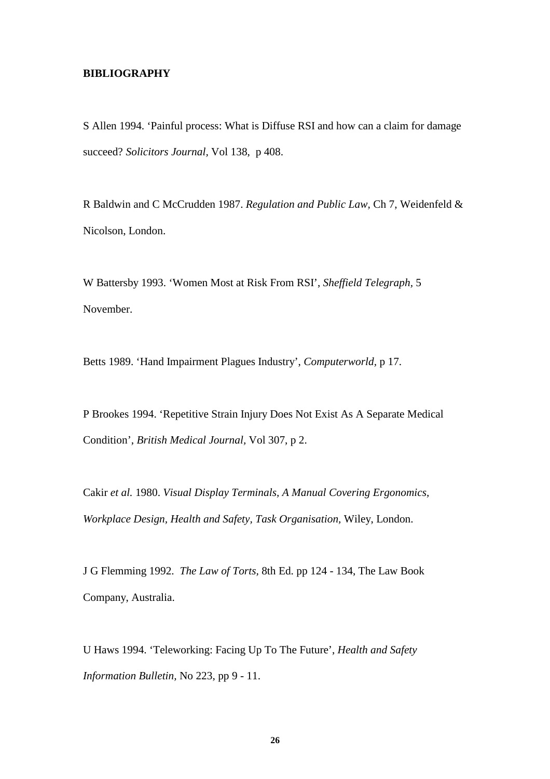#### **BIBLIOGRAPHY**

S Allen 1994. 'Painful process: What is Diffuse RSI and how can a claim for damage succeed? *Solicitors Journal,* Vol 138, p 408.

R Baldwin and C McCrudden 1987. *Regulation and Public Law,* Ch 7, Weidenfeld & Nicolson, London.

W Battersby 1993. 'Women Most at Risk From RSI', *Sheffield Telegraph,* 5 November.

Betts 1989. 'Hand Impairment Plagues Industry', *Computerworld,* p 17.

P Brookes 1994. 'Repetitive Strain Injury Does Not Exist As A Separate Medical Condition', *British Medical Journal,* Vol 307, p 2.

Cakir *et al.* 1980. *Visual Display Terminals, A Manual Covering Ergonomics, Workplace Design, Health and Safety, Task Organisation,* Wiley, London.

J G Flemming 1992. *The Law of Torts,* 8th Ed. pp 124 - 134, The Law Book Company, Australia.

U Haws 1994. 'Teleworking: Facing Up To The Future', *Health and Safety Information Bulletin,* No 223, pp 9 - 11.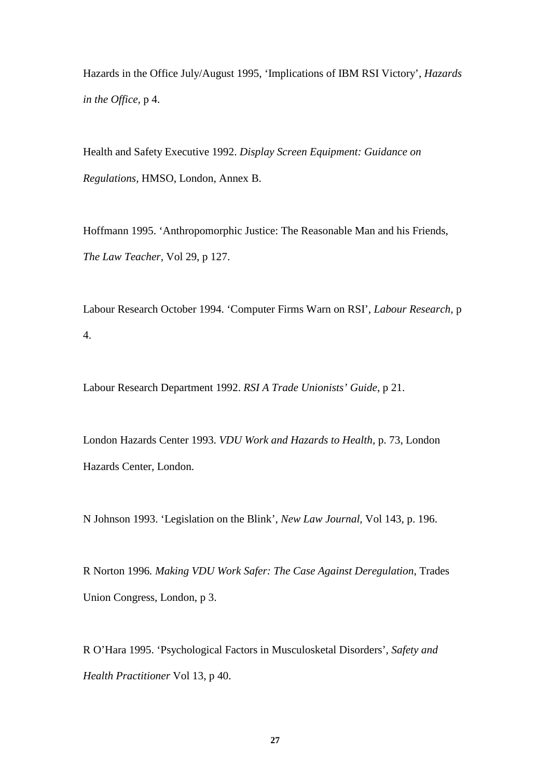Hazards in the Office July/August 1995, 'Implications of IBM RSI Victory', *Hazards in the Office,* p 4.

Health and Safety Executive 1992. *Display Screen Equipment: Guidance on Regulations,* HMSO, London, Annex B.

Hoffmann 1995. 'Anthropomorphic Justice: The Reasonable Man and his Friends, *The Law Teacher,* Vol 29, p 127.

Labour Research October 1994. 'Computer Firms Warn on RSI', *Labour Research,* p 4.

Labour Research Department 1992. *RSI A Trade Unionists' Guide*, p 21.

London Hazards Center 1993. *VDU Work and Hazards to Health,* p. 73, London Hazards Center, London.

N Johnson 1993. 'Legislation on the Blink', *New Law Journal,* Vol 143, p. 196.

R Norton 1996*. Making VDU Work Safer: The Case Against Deregulation*, Trades Union Congress, London, p 3.

R O'Hara 1995. 'Psychological Factors in Musculosketal Disorders', *Safety and Health Practitioner* Vol 13, p 40.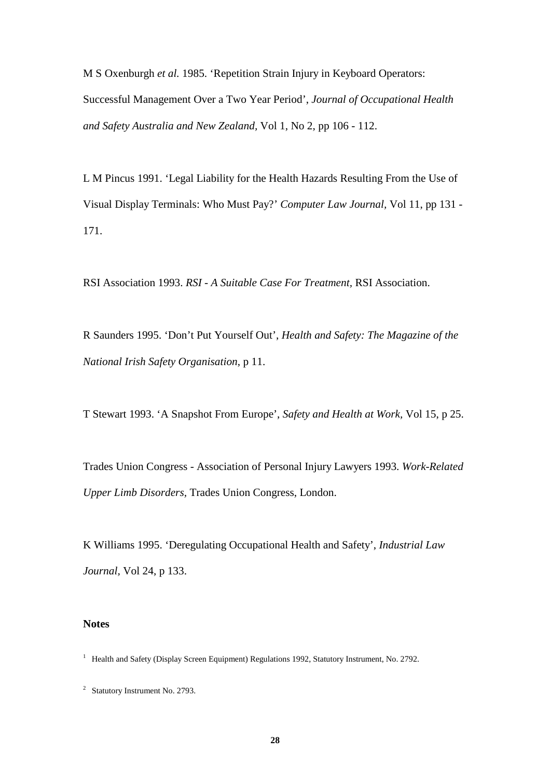M S Oxenburgh *et al.* 1985. 'Repetition Strain Injury in Keyboard Operators: Successful Management Over a Two Year Period', *Journal of Occupational Health and Safety Australia and New Zealand,* Vol 1, No 2, pp 106 - 112.

L M Pincus 1991. 'Legal Liability for the Health Hazards Resulting From the Use of Visual Display Terminals: Who Must Pay?' *Computer Law Journal,* Vol 11, pp 131 - 171.

RSI Association 1993. *RSI - A Suitable Case For Treatment,* RSI Association.

R Saunders 1995. 'Don't Put Yourself Out', *Health and Safety: The Magazine of the National Irish Safety Organisation*, p 11.

T Stewart 1993. 'A Snapshot From Europe', *Safety and Health at Work,* Vol 15, p 25.

Trades Union Congress - Association of Personal Injury Lawyers 1993. *Work-Related Upper Limb Disorders,* Trades Union Congress, London.

K Williams 1995. 'Deregulating Occupational Health and Safety', *Industrial Law Journal,* Vol 24, p 133.

## **Notes**

<sup>&</sup>lt;sup>1</sup> Health and Safety (Display Screen Equipment) Regulations 1992, Statutory Instrument, No. 2792.

<sup>&</sup>lt;sup>2</sup> Statutory Instrument No. 2793.